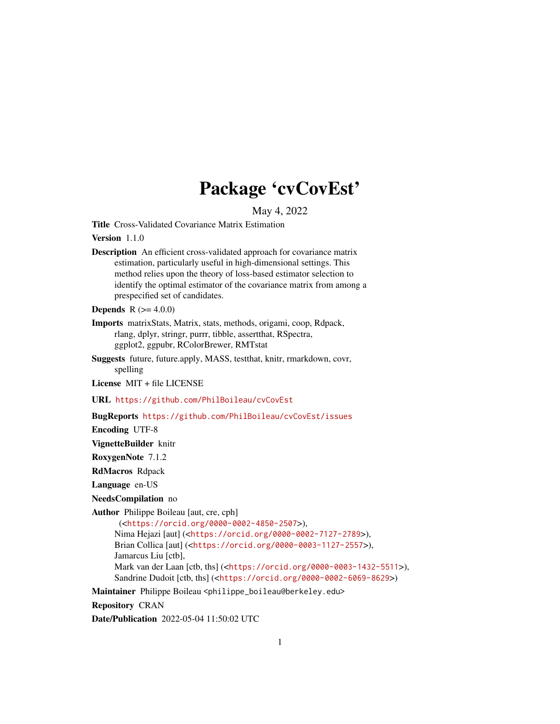# Package 'cvCovEst'

May 4, 2022

<span id="page-0-0"></span>Title Cross-Validated Covariance Matrix Estimation

Version 1.1.0

Description An efficient cross-validated approach for covariance matrix estimation, particularly useful in high-dimensional settings. This method relies upon the theory of loss-based estimator selection to identify the optimal estimator of the covariance matrix from among a prespecified set of candidates.

**Depends** R  $(>= 4.0.0)$ 

- Imports matrixStats, Matrix, stats, methods, origami, coop, Rdpack, rlang, dplyr, stringr, purrr, tibble, assertthat, RSpectra, ggplot2, ggpubr, RColorBrewer, RMTstat
- Suggests future, future.apply, MASS, testthat, knitr, rmarkdown, covr, spelling

License MIT + file LICENSE

URL <https://github.com/PhilBoileau/cvCovEst>

BugReports <https://github.com/PhilBoileau/cvCovEst/issues>

Encoding UTF-8

VignetteBuilder knitr

RoxygenNote 7.1.2

RdMacros Rdpack

Language en-US

NeedsCompilation no

Author Philippe Boileau [aut, cre, cph]

```
(<https://orcid.org/0000-0002-4850-2507>),
Nima Hejazi [aut] (<https://orcid.org/0000-0002-7127-2789>),
Brian Collica [aut] (<https://orcid.org/0000-0003-1127-2557>),
Jamarcus Liu [ctb],
Mark van der Laan [ctb, ths] (<https://orcid.org/0000-0003-1432-5511>),
Sandrine Dudoit [ctb, ths] (<https://orcid.org/0000-0002-6069-8629>)
```
Maintainer Philippe Boileau <philippe\_boileau@berkeley.edu>

Repository CRAN

Date/Publication 2022-05-04 11:50:02 UTC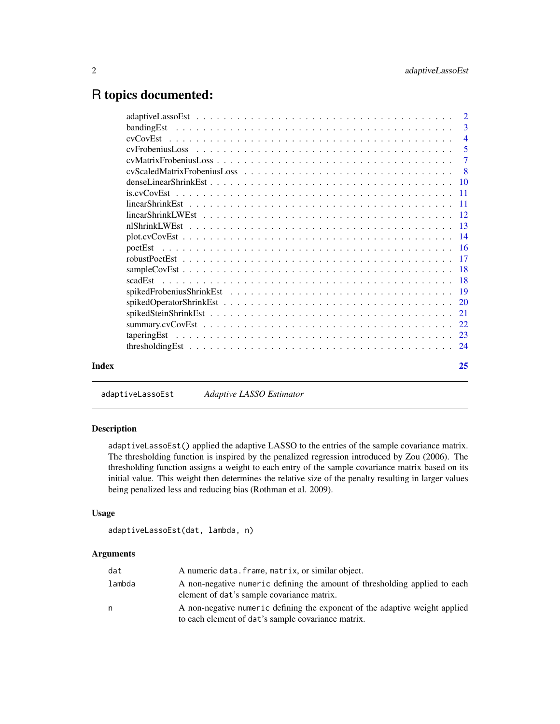# <span id="page-1-0"></span>R topics documented:

| $cv$ Frobenius Loss $\ldots \ldots \ldots \ldots \ldots \ldots \ldots \ldots \ldots \ldots \ldots \ldots$ |    |
|-----------------------------------------------------------------------------------------------------------|----|
|                                                                                                           | -3 |
|                                                                                                           |    |

adaptiveLassoEst *Adaptive LASSO Estimator*

# Description

adaptiveLassoEst() applied the adaptive LASSO to the entries of the sample covariance matrix. The thresholding function is inspired by the penalized regression introduced by Zou (2006). The thresholding function assigns a weight to each entry of the sample covariance matrix based on its initial value. This weight then determines the relative size of the penalty resulting in larger values being penalized less and reducing bias (Rothman et al. 2009).

# Usage

```
adaptiveLassoEst(dat, lambda, n)
```

| dat    | A numeric data. frame, matrix, or similar object.                                                                                 |
|--------|-----------------------------------------------------------------------------------------------------------------------------------|
| lambda | A non-negative numeric defining the amount of thresholding applied to each<br>element of dat's sample covariance matrix.          |
| n      | A non-negative numeric defining the exponent of the adaptive weight applied<br>to each element of dat's sample covariance matrix. |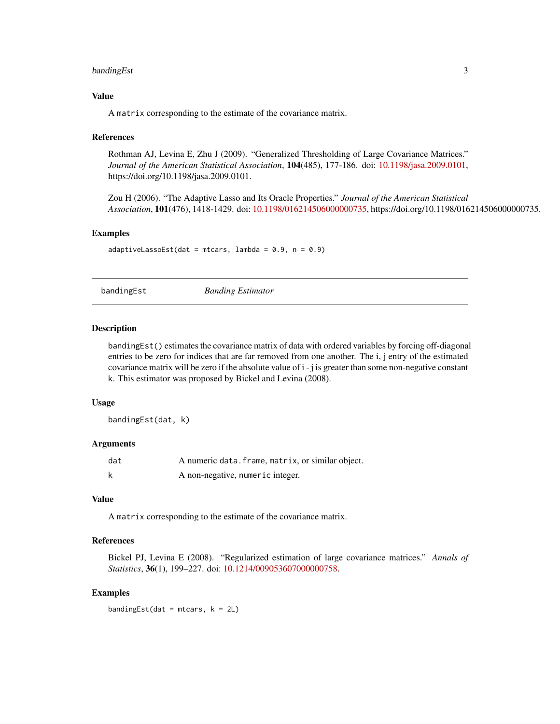# <span id="page-2-0"></span>bandingEst 3

#### Value

A matrix corresponding to the estimate of the covariance matrix.

#### References

Rothman AJ, Levina E, Zhu J (2009). "Generalized Thresholding of Large Covariance Matrices." *Journal of the American Statistical Association*, 104(485), 177-186. doi: [10.1198/jasa.2009.0101,](https://doi.org/10.1198/jasa.2009.0101) https://doi.org/10.1198/jasa.2009.0101.

Zou H (2006). "The Adaptive Lasso and Its Oracle Properties." *Journal of the American Statistical Association*, 101(476), 1418-1429. doi: [10.1198/016214506000000735,](https://doi.org/10.1198/016214506000000735) https://doi.org/10.1198/016214506000000735.

#### Examples

adaptiveLassoEst(dat = mtcars, lambda =  $0.9$ , n =  $0.9$ )

bandingEst *Banding Estimator*

#### Description

bandingEst() estimates the covariance matrix of data with ordered variables by forcing off-diagonal entries to be zero for indices that are far removed from one another. The i, j entry of the estimated covariance matrix will be zero if the absolute value of i - j is greater than some non-negative constant k. This estimator was proposed by Bickel and Levina (2008).

#### Usage

bandingEst(dat, k)

#### Arguments

| dat | A numeric data. frame, matrix, or similar object. |
|-----|---------------------------------------------------|
|     | A non-negative, numeric integer.                  |

#### Value

A matrix corresponding to the estimate of the covariance matrix.

#### References

Bickel PJ, Levina E (2008). "Regularized estimation of large covariance matrices." *Annals of Statistics*, 36(1), 199–227. doi: [10.1214/009053607000000758.](https://doi.org/10.1214/009053607000000758)

#### Examples

bandingEst(dat = mtcars,  $k = 2L$ )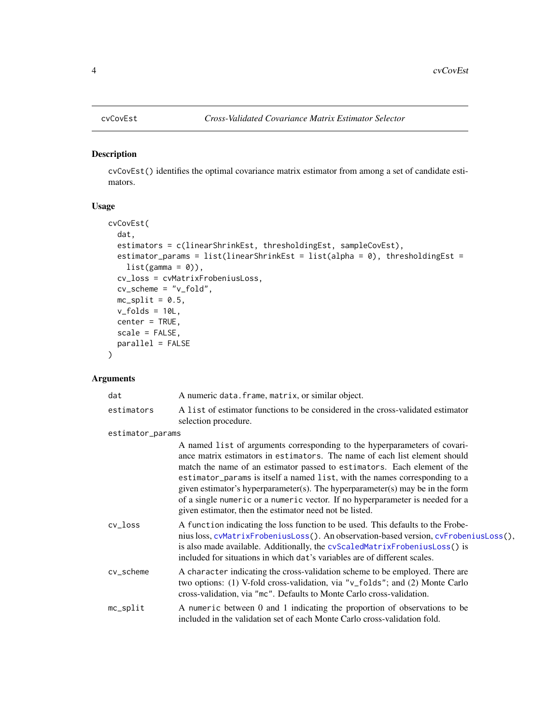#### <span id="page-3-1"></span><span id="page-3-0"></span>Description

cvCovEst() identifies the optimal covariance matrix estimator from among a set of candidate estimators.

# Usage

```
cvCovEst(
  dat,
  estimators = c(linearShrinkEst, thresholdingEst, sampleCovEst),
 estimator_params = list(linearShrinkEst = list(alpha = 0), thresholdingEst =
    list(gamma = 0)),cv_loss = cvMatrixFrobeniusLoss,
  cv_scheme = "v_fold",
 mc\_split = 0.5,
 v_folds = 10L,
  center = TRUE,
  scale = FALSE,
 parallel = FALSE
)
```

| dat              | A numeric data. frame, matrix, or similar object.                                                                                                                                                                                                                                                                                                                                                                                                                                                                                              |
|------------------|------------------------------------------------------------------------------------------------------------------------------------------------------------------------------------------------------------------------------------------------------------------------------------------------------------------------------------------------------------------------------------------------------------------------------------------------------------------------------------------------------------------------------------------------|
| estimators       | A list of estimator functions to be considered in the cross-validated estimator<br>selection procedure.                                                                                                                                                                                                                                                                                                                                                                                                                                        |
| estimator_params |                                                                                                                                                                                                                                                                                                                                                                                                                                                                                                                                                |
|                  | A named list of arguments corresponding to the hyperparameters of covari-<br>ance matrix estimators in estimators. The name of each list element should<br>match the name of an estimator passed to estimators. Each element of the<br>estimator_params is itself a named list, with the names corresponding to a<br>given estimator's hyperparameter(s). The hyperparameter(s) may be in the form<br>of a single numeric or a numeric vector. If no hyperparameter is needed for a<br>given estimator, then the estimator need not be listed. |
| $cv_l$ oss       | A function indicating the loss function to be used. This defaults to the Frobe-<br>nius loss, cvMatrixFrobeniusLoss(). An observation-based version, cvFrobeniusLoss(),<br>is also made available. Additionally, the cvScaledMatrixFrobeniusLoss() is<br>included for situations in which dat's variables are of different scales.                                                                                                                                                                                                             |
| cv_scheme        | A character indicating the cross-validation scheme to be employed. There are<br>two options: (1) V-fold cross-validation, via "v_folds"; and (2) Monte Carlo<br>cross-validation, via "mc". Defaults to Monte Carlo cross-validation.                                                                                                                                                                                                                                                                                                          |
| mc_split         | A numeric between 0 and 1 indicating the proportion of observations to be<br>included in the validation set of each Monte Carlo cross-validation fold.                                                                                                                                                                                                                                                                                                                                                                                         |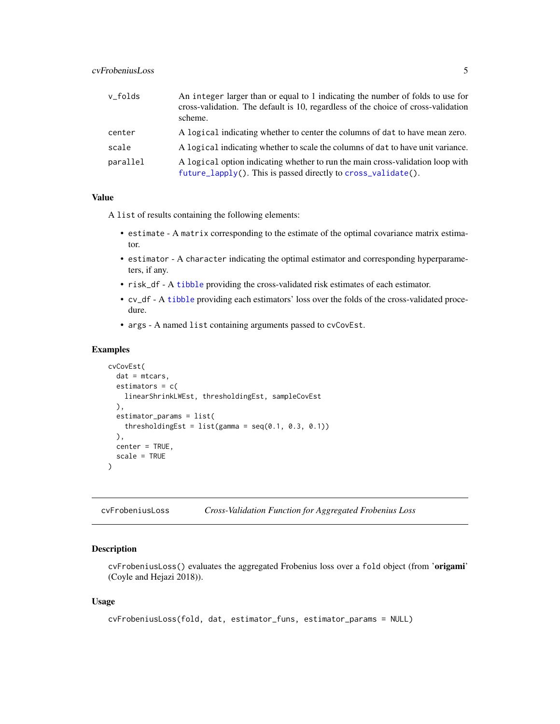# <span id="page-4-0"></span>cvFrobeniusLoss 5

| v_folds  | An integer larger than or equal to 1 indicating the number of folds to use for<br>cross-validation. The default is 10, regardless of the choice of cross-validation<br>scheme. |
|----------|--------------------------------------------------------------------------------------------------------------------------------------------------------------------------------|
| center   | A logical indicating whether to center the columns of dat to have mean zero.                                                                                                   |
| scale    | A logical indicating whether to scale the columns of dat to have unit variance.                                                                                                |
| parallel | A logical option indicating whether to run the main cross-validation loop with<br>future_lapply(). This is passed directly to cross_validate().                                |

#### Value

A list of results containing the following elements:

- estimate A matrix corresponding to the estimate of the optimal covariance matrix estimator.
- estimator A character indicating the optimal estimator and corresponding hyperparameters, if any.
- risk\_df A [tibble](#page-0-0) providing the cross-validated risk estimates of each estimator.
- cv\_df A [tibble](#page-0-0) providing each estimators' loss over the folds of the cross-validated procedure.
- args A named list containing arguments passed to cvCovEst.

#### Examples

```
cvCovEst(
  dat = mtcars,
  estimators = c(linearShrinkLWEst, thresholdingEst, sampleCovEst
  ),
  estimator_params = list(
    thresholdingEst = list(gamma = seq(0.1, 0.3, 0.1))),
  center = TRUE,
  scale = TRUE
\mathcal{L}
```

```
cvFrobeniusLoss Cross-Validation Function for Aggregated Frobenius Loss
```
# Description

cvFrobeniusLoss() evaluates the aggregated Frobenius loss over a fold object (from 'origami' (Coyle and Hejazi 2018)).

#### Usage

```
cvFrobeniusLoss(fold, dat, estimator_funs, estimator_params = NULL)
```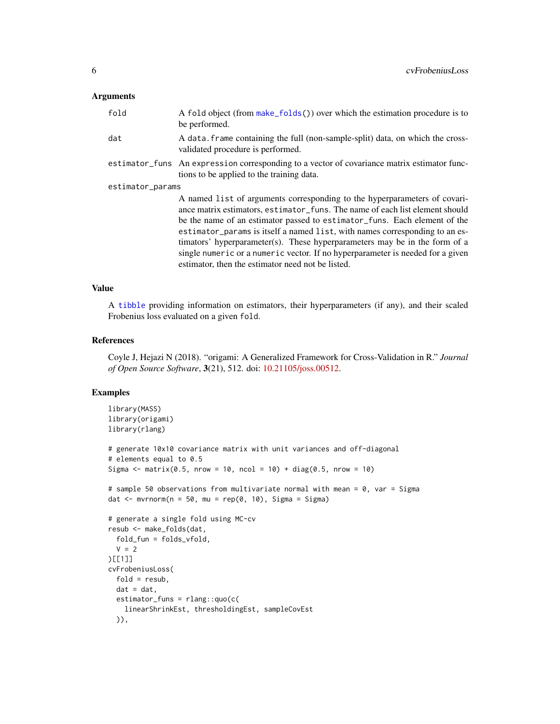# <span id="page-5-0"></span>Arguments

| fold             | A fold object (from make_folds()) over which the estimation procedure is to<br>be performed.                                                                                                                                                                                                                                                                                                                                                                                                                                               |  |
|------------------|--------------------------------------------------------------------------------------------------------------------------------------------------------------------------------------------------------------------------------------------------------------------------------------------------------------------------------------------------------------------------------------------------------------------------------------------------------------------------------------------------------------------------------------------|--|
| dat              | A data frame containing the full (non-sample-split) data, on which the cross-<br>validated procedure is performed.                                                                                                                                                                                                                                                                                                                                                                                                                         |  |
|                  | estimator_funs An expression corresponding to a vector of covariance matrix estimator func-<br>tions to be applied to the training data.                                                                                                                                                                                                                                                                                                                                                                                                   |  |
| estimator_params |                                                                                                                                                                                                                                                                                                                                                                                                                                                                                                                                            |  |
|                  | A named list of arguments corresponding to the hyperparameters of covari-<br>ance matrix estimators, estimator funs. The name of each list element should<br>be the name of an estimator passed to estimator_funs. Each element of the<br>estimator_params is itself a named list, with names corresponding to an es-<br>timators' hyperparameter(s). These hyperparameters may be in the form of a<br>single numeric or a numeric vector. If no hyperparameter is needed for a given<br>estimator, then the estimator need not be listed. |  |

#### Value

A [tibble](#page-0-0) providing information on estimators, their hyperparameters (if any), and their scaled Frobenius loss evaluated on a given fold.

#### References

Coyle J, Hejazi N (2018). "origami: A Generalized Framework for Cross-Validation in R." *Journal of Open Source Software*, 3(21), 512. doi: [10.21105/joss.00512.](https://doi.org/10.21105/joss.00512)

#### Examples

```
library(MASS)
library(origami)
library(rlang)
# generate 10x10 covariance matrix with unit variances and off-diagonal
# elements equal to 0.5
Sigma \le matrix(0.5, nrow = 10, ncol = 10) + diag(0.5, nrow = 10)
# sample 50 observations from multivariate normal with mean = 0, var = Sigma
dat \leq mvrnorm(n = 50, mu = rep(0, 10), Sigma = Sigma)
# generate a single fold using MC-cv
resub <- make_folds(dat,
  fold_fun = folds_vfold,
  V = 2)[[1]]
cvFrobeniusLoss(
  fold = result,dat = dat,estimator_funs = rlang::quo(c(
   linearShrinkEst, thresholdingEst, sampleCovEst
  )),
```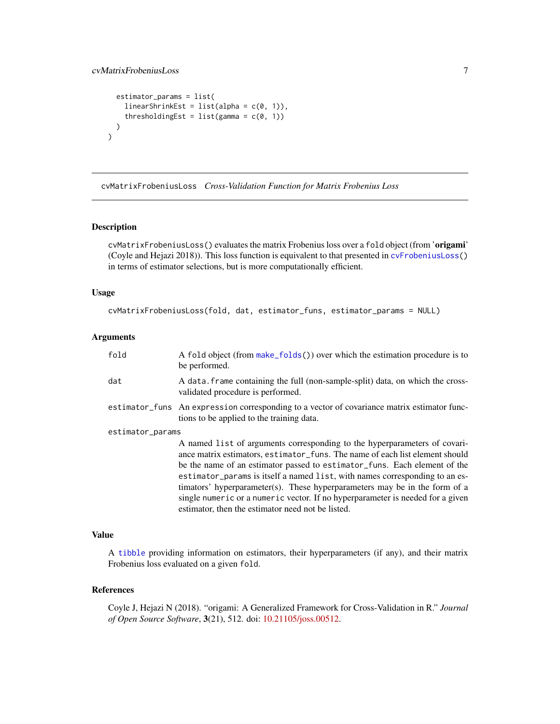# <span id="page-6-0"></span>cvMatrixFrobeniusLoss 7

```
estimator_params = list(
   linearShrinkEst = list(alpha = c(0, 1)),thresholdingEst = list(gamma = c(0, 1)))
)
```
<span id="page-6-1"></span>cvMatrixFrobeniusLoss *Cross-Validation Function for Matrix Frobenius Loss*

# Description

cvMatrixFrobeniusLoss() evaluates the matrix Frobenius loss over a fold object (from 'origami' (Coyle and Hejazi 2018)). This loss function is equivalent to that presented in [cvFrobeniusLoss\(](#page-4-1)) in terms of estimator selections, but is more computationally efficient.

# Usage

```
cvMatrixFrobeniusLoss(fold, dat, estimator_funs, estimator_params = NULL)
```
#### Arguments

| fold             | A fold object (from make_folds()) over which the estimation procedure is to<br>be performed.                                                                                                                                                                                                                                                                                                                                                                                                                                               |
|------------------|--------------------------------------------------------------------------------------------------------------------------------------------------------------------------------------------------------------------------------------------------------------------------------------------------------------------------------------------------------------------------------------------------------------------------------------------------------------------------------------------------------------------------------------------|
| dat              | A data. frame containing the full (non-sample-split) data, on which the cross-<br>validated procedure is performed.                                                                                                                                                                                                                                                                                                                                                                                                                        |
|                  | estimator_funs An expression corresponding to a vector of covariance matrix estimator func-<br>tions to be applied to the training data.                                                                                                                                                                                                                                                                                                                                                                                                   |
| estimator_params |                                                                                                                                                                                                                                                                                                                                                                                                                                                                                                                                            |
|                  | A named list of arguments corresponding to the hyperparameters of covari-<br>ance matrix estimators, estimator_funs. The name of each list element should<br>be the name of an estimator passed to estimator_funs. Each element of the<br>estimator_params is itself a named list, with names corresponding to an es-<br>timators' hyperparameter(s). These hyperparameters may be in the form of a<br>single numeric or a numeric vector. If no hyperparameter is needed for a given<br>estimator, then the estimator need not be listed. |

#### Value

A [tibble](#page-0-0) providing information on estimators, their hyperparameters (if any), and their matrix Frobenius loss evaluated on a given fold.

# References

Coyle J, Hejazi N (2018). "origami: A Generalized Framework for Cross-Validation in R." *Journal of Open Source Software*, 3(21), 512. doi: [10.21105/joss.00512.](https://doi.org/10.21105/joss.00512)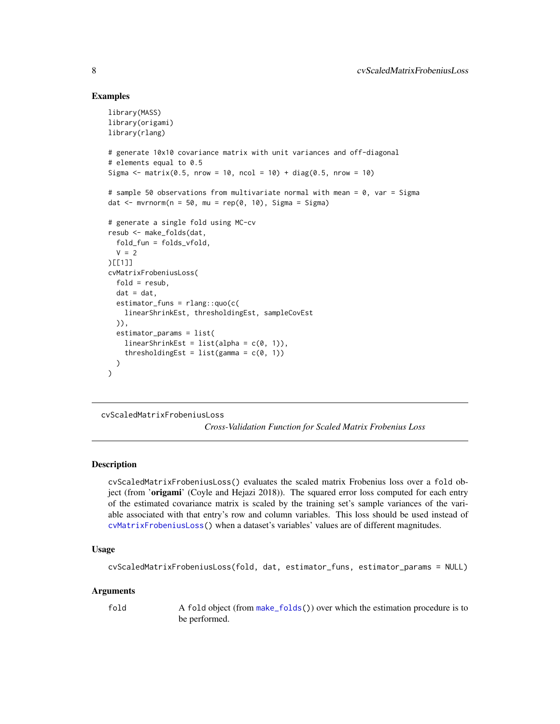# Examples

```
library(MASS)
library(origami)
library(rlang)
# generate 10x10 covariance matrix with unit variances and off-diagonal
# elements equal to 0.5
Sigma \le matrix(0.5, nrow = 10, ncol = 10) + diag(0.5, nrow = 10)
# sample 50 observations from multivariate normal with mean = 0, var = Sigma
dat \leq mvrnorm(n = 50, mu = rep(0, 10), Sigma = Sigma)
# generate a single fold using MC-cv
resub <- make_folds(dat,
  fold_fun = folds_vfold,
  V = 2)[[1]]
cvMatrixFrobeniusLoss(
  fold = result,
  dat = dat,estimator_funs = rlang::quo(c(
    linearShrinkEst, thresholdingEst, sampleCovEst
  )),
  estimator_params = list(
    linearShrinkEst = list(alpha = c(0, 1)),thresholdingEst = list(gamma = c(\theta, 1))
  )
)
```
<span id="page-7-1"></span>cvScaledMatrixFrobeniusLoss

*Cross-Validation Function for Scaled Matrix Frobenius Loss*

#### **Description**

cvScaledMatrixFrobeniusLoss() evaluates the scaled matrix Frobenius loss over a fold object (from 'origami' (Coyle and Hejazi 2018)). The squared error loss computed for each entry of the estimated covariance matrix is scaled by the training set's sample variances of the variable associated with that entry's row and column variables. This loss should be used instead of [cvMatrixFrobeniusLoss\(](#page-6-1)) when a dataset's variables' values are of different magnitudes.

#### Usage

```
cvScaledMatrixFrobeniusLoss(fold, dat, estimator_funs, estimator_params = NULL)
```
#### Arguments

fold A fold object (from [make\\_folds\(](#page-0-0))) over which the estimation procedure is to be performed.

<span id="page-7-0"></span>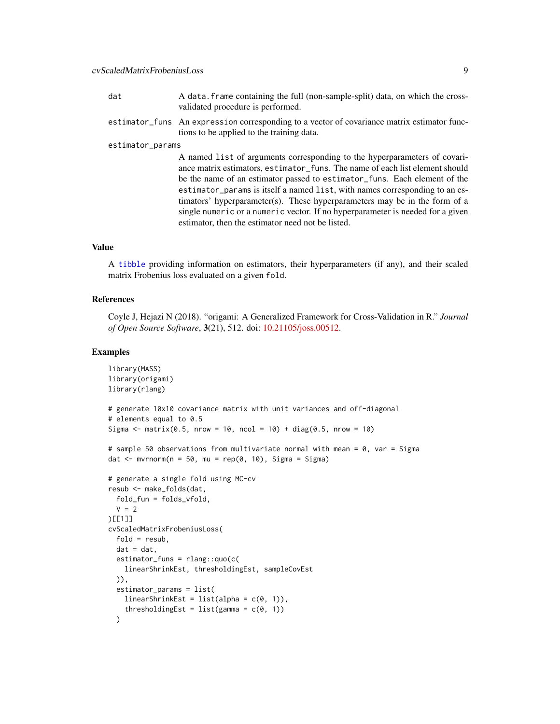- <span id="page-8-0"></span>dat A data. frame containing the full (non-sample-split) data, on which the crossvalidated procedure is performed.
- estimator\_funs An expression corresponding to a vector of covariance matrix estimator functions to be applied to the training data.

#### estimator\_params

A named list of arguments corresponding to the hyperparameters of covariance matrix estimators, estimator\_funs. The name of each list element should be the name of an estimator passed to estimator\_funs. Each element of the estimator\_params is itself a named list, with names corresponding to an estimators' hyperparameter(s). These hyperparameters may be in the form of a single numeric or a numeric vector. If no hyperparameter is needed for a given estimator, then the estimator need not be listed.

# Value

A [tibble](#page-0-0) providing information on estimators, their hyperparameters (if any), and their scaled matrix Frobenius loss evaluated on a given fold.

#### References

Coyle J, Hejazi N (2018). "origami: A Generalized Framework for Cross-Validation in R." *Journal of Open Source Software*, 3(21), 512. doi: [10.21105/joss.00512.](https://doi.org/10.21105/joss.00512)

#### Examples

```
library(MASS)
library(origami)
library(rlang)
# generate 10x10 covariance matrix with unit variances and off-diagonal
# elements equal to 0.5
Sigma \le matrix(0.5, nrow = 10, ncol = 10) + diag(0.5, nrow = 10)
# sample 50 observations from multivariate normal with mean = 0, var = Sigma
dat \leq mvrnorm(n = 50, mu = rep(0, 10), Sigma = Sigma)
# generate a single fold using MC-cv
resub <- make_folds(dat,
  fold_fun = folds_vfold,
  V = 2)[[1]]
cvScaledMatrixFrobeniusLoss(
  fold = result,
  dat = dat,estimator_funs = rlang::quo(c(
    linearShrinkEst, thresholdingEst, sampleCovEst
  )),
  estimator_params = list(
    linearShrinkEst = list(alpha = c(0, 1)),thresholdingEst = list(gamma = c(0, 1)))
```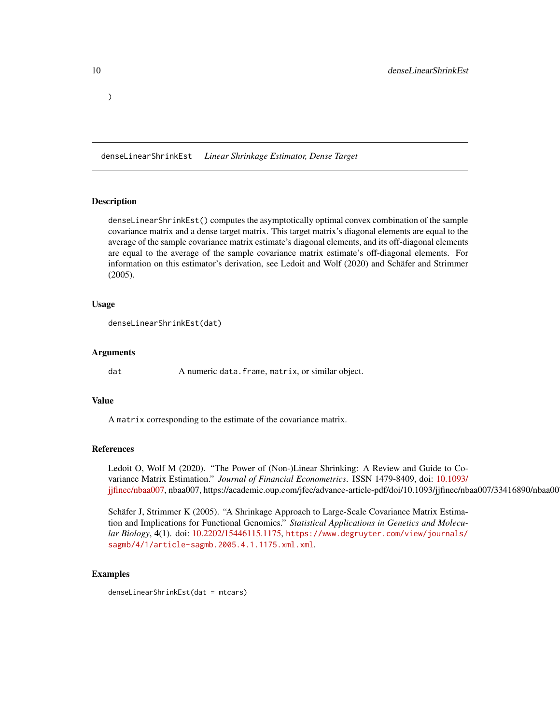<span id="page-9-0"></span>)

denseLinearShrinkEst *Linear Shrinkage Estimator, Dense Target*

# **Description**

denseLinearShrinkEst() computes the asymptotically optimal convex combination of the sample covariance matrix and a dense target matrix. This target matrix's diagonal elements are equal to the average of the sample covariance matrix estimate's diagonal elements, and its off-diagonal elements are equal to the average of the sample covariance matrix estimate's off-diagonal elements. For information on this estimator's derivation, see Ledoit and Wolf (2020) and Schäfer and Strimmer (2005).

#### Usage

```
denseLinearShrinkEst(dat)
```
#### Arguments

dat A numeric data.frame, matrix, or similar object.

#### Value

A matrix corresponding to the estimate of the covariance matrix.

# References

Ledoit O, Wolf M (2020). "The Power of (Non-)Linear Shrinking: A Review and Guide to Covariance Matrix Estimation." *Journal of Financial Econometrics*. ISSN 1479-8409, doi: [10.1093/](https://doi.org/10.1093/jjfinec/nbaa007) [jjfinec/nbaa007,](https://doi.org/10.1093/jjfinec/nbaa007) nbaa007, https://academic.oup.com/jfec/advance-article-pdf/doi/10.1093/jjfinec/nbaa007/33416890/nbaa00

Schäfer J, Strimmer K (2005). "A Shrinkage Approach to Large-Scale Covariance Matrix Estimation and Implications for Functional Genomics." *Statistical Applications in Genetics and Molecular Biology*, 4(1). doi: [10.2202/15446115.1175,](https://doi.org/10.2202/1544-6115.1175) [https://www.degruyter.com/view/journals/](https://www.degruyter.com/view/journals/sagmb/4/1/article-sagmb.2005.4.1.1175.xml.xml) [sagmb/4/1/article-sagmb.2005.4.1.1175.xml.xml](https://www.degruyter.com/view/journals/sagmb/4/1/article-sagmb.2005.4.1.1175.xml.xml).

#### Examples

denseLinearShrinkEst(dat = mtcars)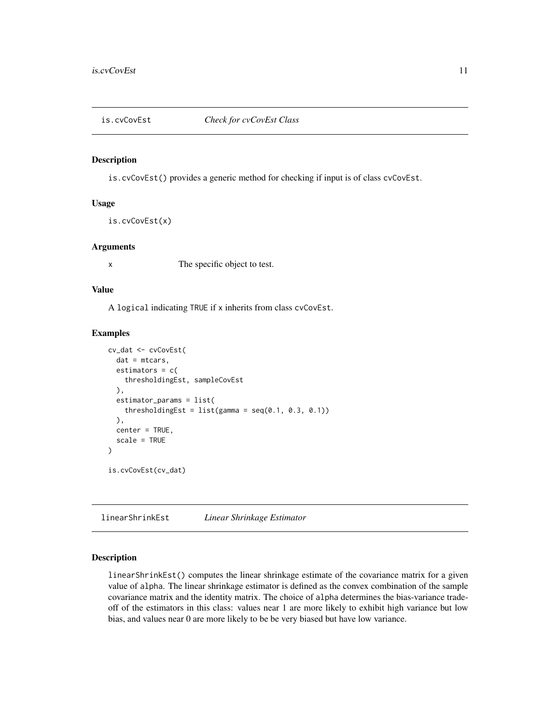<span id="page-10-0"></span>

# Description

is.cvCovEst() provides a generic method for checking if input is of class cvCovEst.

#### Usage

is.cvCovEst(x)

# Arguments

x The specific object to test.

#### Value

A logical indicating TRUE if x inherits from class cvCovEst.

#### Examples

```
cv_dat <- cvCovEst(
  dat = mtcars,
  estimators = c(thresholdingEst, sampleCovEst
  ),
  estimator_params = list(
    thresholdingEst = list(gamma = seq(0.1, 0.3, 0.1))),
  center = TRUE,
  scale = TRUE
)
is.cvCovEst(cv_dat)
```
linearShrinkEst *Linear Shrinkage Estimator*

# Description

linearShrinkEst() computes the linear shrinkage estimate of the covariance matrix for a given value of alpha. The linear shrinkage estimator is defined as the convex combination of the sample covariance matrix and the identity matrix. The choice of alpha determines the bias-variance tradeoff of the estimators in this class: values near 1 are more likely to exhibit high variance but low bias, and values near 0 are more likely to be be very biased but have low variance.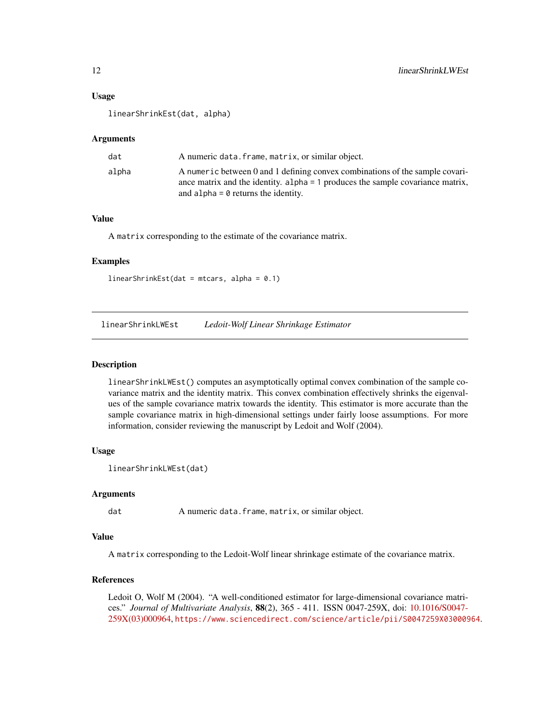# <span id="page-11-0"></span>Usage

linearShrinkEst(dat, alpha)

#### Arguments

| dat   | A numeric data. frame, matrix, or similar object.                                                                                                                                                       |
|-------|---------------------------------------------------------------------------------------------------------------------------------------------------------------------------------------------------------|
| alpha | A numeric between 0 and 1 defining convex combinations of the sample covari-<br>ance matrix and the identity. alpha = 1 produces the sample covariance matrix,<br>and alpha $= 0$ returns the identity. |

# Value

A matrix corresponding to the estimate of the covariance matrix.

# Examples

linearShrinkEst(dat = mtcars, alpha = 0.1)

linearShrinkLWEst *Ledoit-Wolf Linear Shrinkage Estimator*

#### Description

linearShrinkLWEst() computes an asymptotically optimal convex combination of the sample covariance matrix and the identity matrix. This convex combination effectively shrinks the eigenvalues of the sample covariance matrix towards the identity. This estimator is more accurate than the sample covariance matrix in high-dimensional settings under fairly loose assumptions. For more information, consider reviewing the manuscript by Ledoit and Wolf (2004).

#### Usage

```
linearShrinkLWEst(dat)
```
#### Arguments

dat A numeric data.frame, matrix, or similar object.

#### Value

A matrix corresponding to the Ledoit-Wolf linear shrinkage estimate of the covariance matrix.

# References

Ledoit O, Wolf M (2004). "A well-conditioned estimator for large-dimensional covariance matrices." *Journal of Multivariate Analysis*, 88(2), 365 - 411. ISSN 0047-259X, doi: [10.1016/S0047-](https://doi.org/10.1016/S0047-259X(03)00096-4) [259X\(03\)000964,](https://doi.org/10.1016/S0047-259X(03)00096-4) <https://www.sciencedirect.com/science/article/pii/S0047259X03000964>.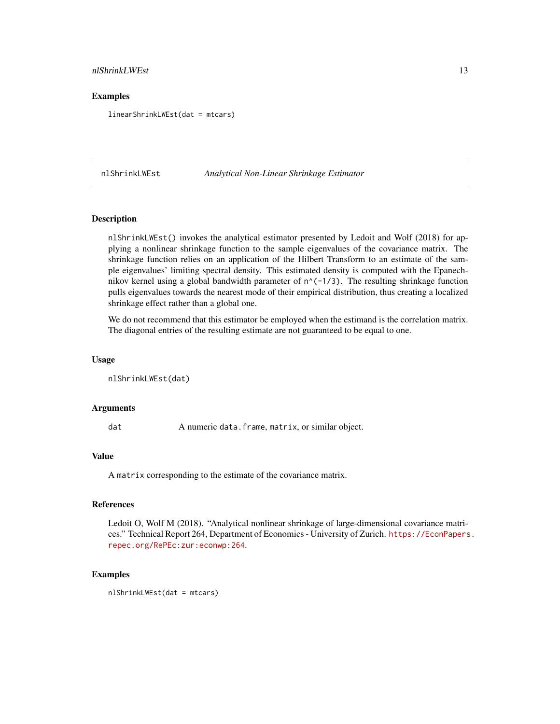# <span id="page-12-0"></span>nlShrinkLWEst 13

### Examples

linearShrinkLWEst(dat = mtcars)

nlShrinkLWEst *Analytical Non-Linear Shrinkage Estimator*

### Description

nlShrinkLWEst() invokes the analytical estimator presented by Ledoit and Wolf (2018) for applying a nonlinear shrinkage function to the sample eigenvalues of the covariance matrix. The shrinkage function relies on an application of the Hilbert Transform to an estimate of the sample eigenvalues' limiting spectral density. This estimated density is computed with the Epanechnikov kernel using a global bandwidth parameter of  $n^(-1/3)$ . The resulting shrinkage function pulls eigenvalues towards the nearest mode of their empirical distribution, thus creating a localized shrinkage effect rather than a global one.

We do not recommend that this estimator be employed when the estimand is the correlation matrix. The diagonal entries of the resulting estimate are not guaranteed to be equal to one.

#### Usage

nlShrinkLWEst(dat)

# Arguments

dat A numeric data.frame, matrix, or similar object.

#### Value

A matrix corresponding to the estimate of the covariance matrix.

#### References

Ledoit O, Wolf M (2018). "Analytical nonlinear shrinkage of large-dimensional covariance matrices." Technical Report 264, Department of Economics - University of Zurich. [https://EconPapers](https://EconPapers.repec.org/RePEc:zur:econwp:264). [repec.org/RePEc:zur:econwp:264](https://EconPapers.repec.org/RePEc:zur:econwp:264).

#### Examples

nlShrinkLWEst(dat = mtcars)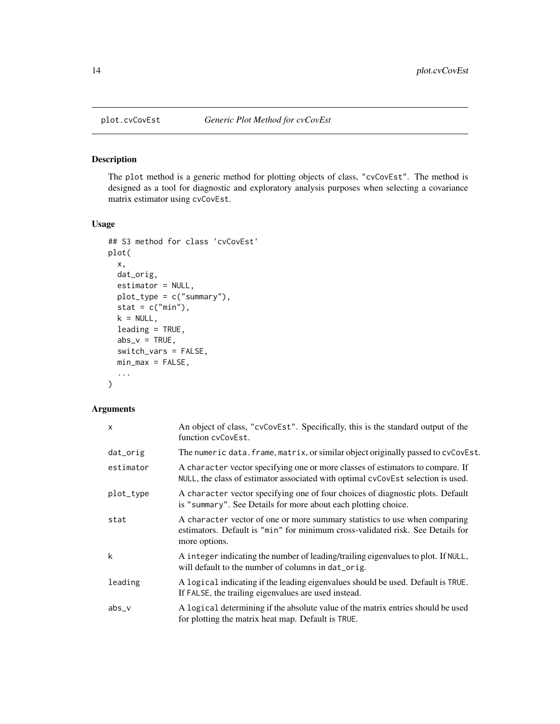<span id="page-13-0"></span>

# Description

The plot method is a generic method for plotting objects of class, "cvCovEst". The method is designed as a tool for diagnostic and exploratory analysis purposes when selecting a covariance matrix estimator using cvCovEst.

# Usage

```
## S3 method for class 'cvCovEst'
plot(
  x,
 dat_orig,
  estimator = NULL,
 plot_type = c("summary"),
  stat = c("min"),k = NULL,leading = TRUE,
  abs_v = TRUE,switch_vars = FALSE,
 min\_max = FALSE,...
\mathcal{L}
```

| $\mathsf{x}$ | An object of class, "cvCovEst". Specifically, this is the standard output of the<br>function cyCovEst.                                                                        |
|--------------|-------------------------------------------------------------------------------------------------------------------------------------------------------------------------------|
| dat_orig     | The numeric data. frame, matrix, or similar object originally passed to cvCovEst.                                                                                             |
| estimator    | A character vector specifying one or more classes of estimators to compare. If<br>NULL, the class of estimator associated with optimal cvCovEst selection is used.            |
| plot_type    | A character vector specifying one of four choices of diagnostic plots. Default<br>is "summary". See Details for more about each plotting choice.                              |
| stat         | A character vector of one or more summary statistics to use when comparing<br>estimators. Default is "min" for minimum cross-validated risk. See Details for<br>more options. |
| k            | A integer indicating the number of leading/trailing eigenvalues to plot. If NULL,<br>will default to the number of columns in dat_orig.                                       |
| leading      | A logical indicating if the leading eigenvalues should be used. Default is TRUE.<br>If FALSE, the trailing eigenvalues are used instead.                                      |
| $abs_v$      | A logical determining if the absolute value of the matrix entries should be used<br>for plotting the matrix heat map. Default is TRUE.                                        |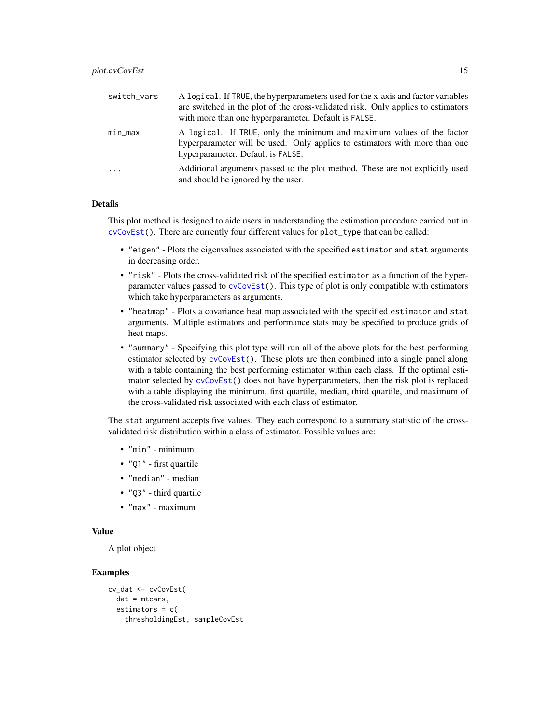<span id="page-14-0"></span>

| switch_vars             | A logical. If TRUE, the hyperparameters used for the x-axis and factor variables<br>are switched in the plot of the cross-validated risk. Only applies to estimators                     |
|-------------------------|------------------------------------------------------------------------------------------------------------------------------------------------------------------------------------------|
|                         | with more than one hyperparameter. Default is FALSE.                                                                                                                                     |
| $min\_max$              | A logical. If TRUE, only the minimum and maximum values of the factor<br>hyperparameter will be used. Only applies to estimators with more than one<br>hyperparameter. Default is FALSE. |
| $\cdot$ $\cdot$ $\cdot$ | Additional arguments passed to the plot method. These are not explicitly used<br>and should be ignored by the user.                                                                      |

# Details

This plot method is designed to aide users in understanding the estimation procedure carried out in [cvCovEst\(](#page-3-1)). There are currently four different values for plot\_type that can be called:

- "eigen" Plots the eigenvalues associated with the specified estimator and stat arguments in decreasing order.
- "risk" Plots the cross-validated risk of the specified estimator as a function of the hyperparameter values passed to  $cvCovEst()$  $cvCovEst()$ . This type of plot is only compatible with estimators which take hyperparameters as arguments.
- "heatmap" Plots a covariance heat map associated with the specified estimator and stat arguments. Multiple estimators and performance stats may be specified to produce grids of heat maps.
- "summary" Specifying this plot type will run all of the above plots for the best performing estimator selected by [cvCovEst\(](#page-3-1)). These plots are then combined into a single panel along with a table containing the best performing estimator within each class. If the optimal estimator selected by [cvCovEst\(](#page-3-1)) does not have hyperparameters, then the risk plot is replaced with a table displaying the minimum, first quartile, median, third quartile, and maximum of the cross-validated risk associated with each class of estimator.

The stat argument accepts five values. They each correspond to a summary statistic of the crossvalidated risk distribution within a class of estimator. Possible values are:

- "min" minimum
- "Q1" first quartile
- "median" median
- "Q3" third quartile
- "max" maximum

# Value

A plot object

#### Examples

```
cv_dat <- cvCovEst(
 dat = mtcars,
 estimators = c(thresholdingEst, sampleCovEst
```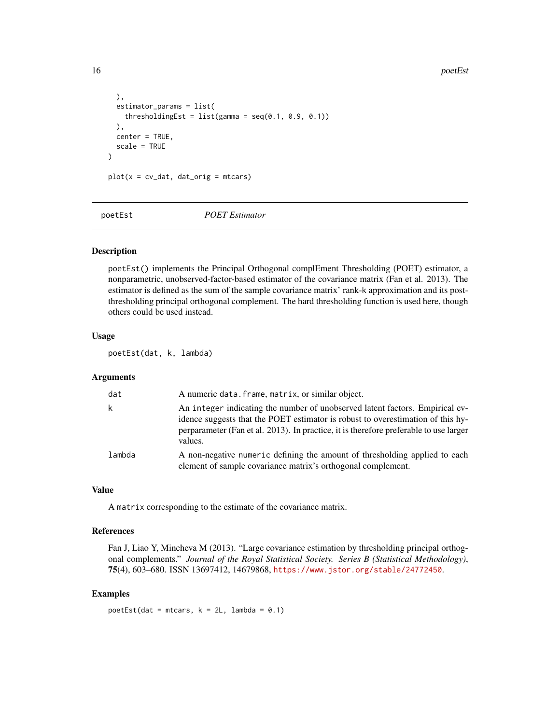16 poetEst processes and the poetEst processes and the poetEst processes and the poetEst processes and the poetEst processes and the poetEst processes and the poetEst processes and the poetEst processes and the poetEst pro

```
),
 estimator_params = list(
   thresholdingEst = list(gamma = seq(0.1, 0.9, 0.1))),
 center = TRUE,
 scale = TRUE
)
plot(x = cv_data, dat_corig = mtcars)
```
poetEst *POET Estimator*

# Description

poetEst() implements the Principal Orthogonal complEment Thresholding (POET) estimator, a nonparametric, unobserved-factor-based estimator of the covariance matrix (Fan et al. 2013). The estimator is defined as the sum of the sample covariance matrix' rank-k approximation and its postthresholding principal orthogonal complement. The hard thresholding function is used here, though others could be used instead.

# Usage

poetEst(dat, k, lambda)

# Arguments

| dat    | A numeric data. frame, matrix, or similar object.                                                                                                                                                                                                                   |
|--------|---------------------------------------------------------------------------------------------------------------------------------------------------------------------------------------------------------------------------------------------------------------------|
|        | An integer indicating the number of unobserved latent factors. Empirical ev-<br>idence suggests that the POET estimator is robust to overestimation of this hy-<br>perparameter (Fan et al. 2013). In practice, it is therefore preferable to use larger<br>values. |
| lambda | A non-negative numeric defining the amount of thresholding applied to each<br>element of sample covariance matrix's orthogonal complement.                                                                                                                          |

#### Value

A matrix corresponding to the estimate of the covariance matrix.

#### References

Fan J, Liao Y, Mincheva M (2013). "Large covariance estimation by thresholding principal orthogonal complements." *Journal of the Royal Statistical Society. Series B (Statistical Methodology)*, 75(4), 603–680. ISSN 13697412, 14679868, <https://www.jstor.org/stable/24772450>.

#### Examples

poetEst(dat = mtcars,  $k = 2L$ , lambda = 0.1)

<span id="page-15-0"></span>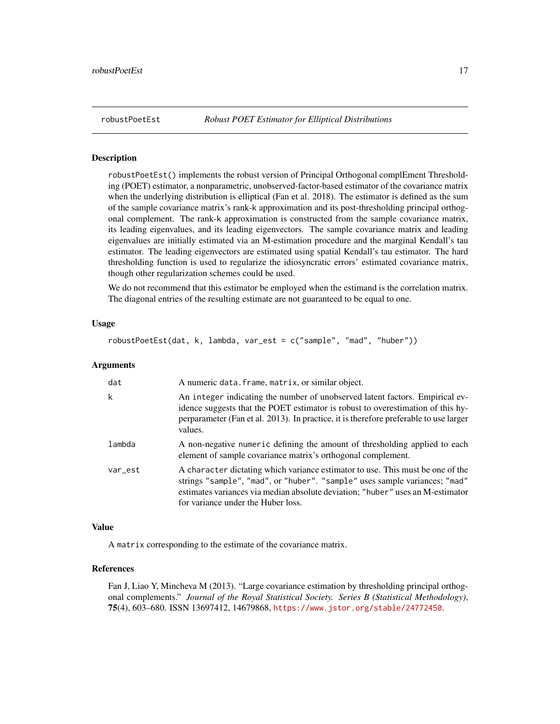<span id="page-16-0"></span>

#### Description

robustPoetEst() implements the robust version of Principal Orthogonal complEment Thresholding (POET) estimator, a nonparametric, unobserved-factor-based estimator of the covariance matrix when the underlying distribution is elliptical (Fan et al. 2018). The estimator is defined as the sum of the sample covariance matrix's rank-k approximation and its post-thresholding principal orthogonal complement. The rank-k approximation is constructed from the sample covariance matrix, its leading eigenvalues, and its leading eigenvectors. The sample covariance matrix and leading eigenvalues are initially estimated via an M-estimation procedure and the marginal Kendall's tau estimator. The leading eigenvectors are estimated using spatial Kendall's tau estimator. The hard thresholding function is used to regularize the idiosyncratic errors' estimated covariance matrix, though other regularization schemes could be used.

We do not recommend that this estimator be employed when the estimand is the correlation matrix. The diagonal entries of the resulting estimate are not guaranteed to be equal to one.

#### Usage

robustPoetEst(dat, k, lambda, var\_est = c("sample", "mad", "huber"))

#### Arguments

| dat     | A numeric data. frame, matrix, or similar object.                                                                                                                                                                                                                                    |
|---------|--------------------------------------------------------------------------------------------------------------------------------------------------------------------------------------------------------------------------------------------------------------------------------------|
| k       | An integer indicating the number of unobserved latent factors. Empirical ev-<br>idence suggests that the POET estimator is robust to overestimation of this hy-<br>perparameter (Fan et al. 2013). In practice, it is therefore preferable to use larger<br>values.                  |
| lambda  | A non-negative numeric defining the amount of thresholding applied to each<br>element of sample covariance matrix's orthogonal complement.                                                                                                                                           |
| var_est | A character dictating which variance estimator to use. This must be one of the<br>strings "sample", "mad", or "huber". "sample" uses sample variances; "mad"<br>estimates variances via median absolute deviation; "huber" uses an M-estimator<br>for variance under the Huber loss. |

#### Value

A matrix corresponding to the estimate of the covariance matrix.

#### References

Fan J, Liao Y, Mincheva M (2013). "Large covariance estimation by thresholding principal orthogonal complements." *Journal of the Royal Statistical Society. Series B (Statistical Methodology)*, 75(4), 603–680. ISSN 13697412, 14679868, <https://www.jstor.org/stable/24772450>.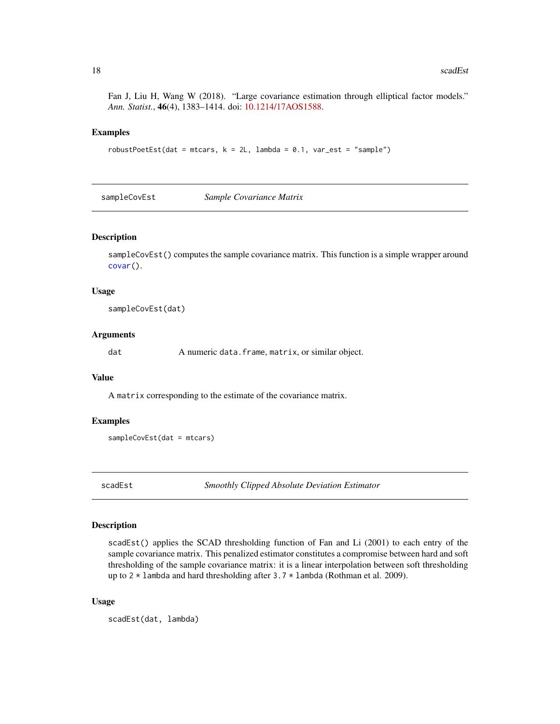<span id="page-17-0"></span>Fan J, Liu H, Wang W (2018). "Large covariance estimation through elliptical factor models." *Ann. Statist.*, 46(4), 1383–1414. doi: [10.1214/17AOS1588.](https://doi.org/10.1214/17-AOS1588)

#### Examples

 $robustPoetEst(data = mtears, k = 2L, lambda = 0.1, var_set = "sample")$ 

sampleCovEst *Sample Covariance Matrix*

# Description

sampleCovEst() computes the sample covariance matrix. This function is a simple wrapper around [covar\(](#page-0-0)).

#### Usage

sampleCovEst(dat)

#### Arguments

dat A numeric data.frame, matrix, or similar object.

# Value

A matrix corresponding to the estimate of the covariance matrix.

#### Examples

sampleCovEst(dat = mtcars)

scadEst *Smoothly Clipped Absolute Deviation Estimator*

#### Description

scadEst() applies the SCAD thresholding function of Fan and Li (2001) to each entry of the sample covariance matrix. This penalized estimator constitutes a compromise between hard and soft thresholding of the sample covariance matrix: it is a linear interpolation between soft thresholding up to  $2 \times 1$  ambda and hard thresholding after  $3.7 \times 1$  ambda (Rothman et al. 2009).

#### Usage

scadEst(dat, lambda)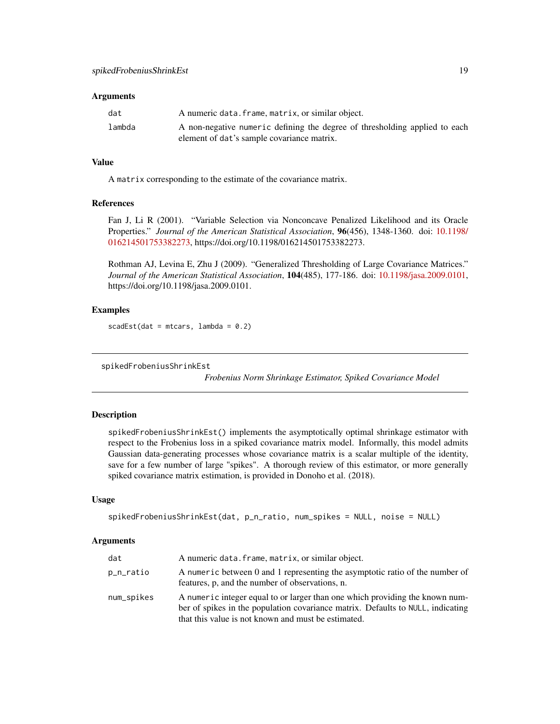#### <span id="page-18-0"></span>Arguments

| dat    | A numeric data. frame, matrix, or similar object.                          |
|--------|----------------------------------------------------------------------------|
| lambda | A non-negative numeric defining the degree of thresholding applied to each |
|        | element of dat's sample covariance matrix.                                 |

# Value

A matrix corresponding to the estimate of the covariance matrix.

# References

Fan J, Li R (2001). "Variable Selection via Nonconcave Penalized Likelihood and its Oracle Properties." *Journal of the American Statistical Association*, 96(456), 1348-1360. doi: [10.1198/](https://doi.org/10.1198/016214501753382273) [016214501753382273,](https://doi.org/10.1198/016214501753382273) https://doi.org/10.1198/016214501753382273.

Rothman AJ, Levina E, Zhu J (2009). "Generalized Thresholding of Large Covariance Matrices." *Journal of the American Statistical Association*, 104(485), 177-186. doi: [10.1198/jasa.2009.0101,](https://doi.org/10.1198/jasa.2009.0101) https://doi.org/10.1198/jasa.2009.0101.

#### Examples

 $scadEst(data = mtcars, lambda = 0.2)$ 

spikedFrobeniusShrinkEst

*Frobenius Norm Shrinkage Estimator, Spiked Covariance Model*

#### **Description**

spikedFrobeniusShrinkEst() implements the asymptotically optimal shrinkage estimator with respect to the Frobenius loss in a spiked covariance matrix model. Informally, this model admits Gaussian data-generating processes whose covariance matrix is a scalar multiple of the identity, save for a few number of large "spikes". A thorough review of this estimator, or more generally spiked covariance matrix estimation, is provided in Donoho et al. (2018).

#### Usage

```
spikedFrobeniusShrinkEst(dat, p_n_ratio, num_spikes = NULL, noise = NULL)
```

| dat        | A numeric data. frame, matrix, or similar object.                                                                                                                                                                      |
|------------|------------------------------------------------------------------------------------------------------------------------------------------------------------------------------------------------------------------------|
| p_n_ratio  | A numeric between 0 and 1 representing the asymptotic ratio of the number of<br>features, p, and the number of observations, n.                                                                                        |
| num_spikes | A numeric integer equal to or larger than one which providing the known num-<br>ber of spikes in the population covariance matrix. Defaults to NULL, indicating<br>that this value is not known and must be estimated. |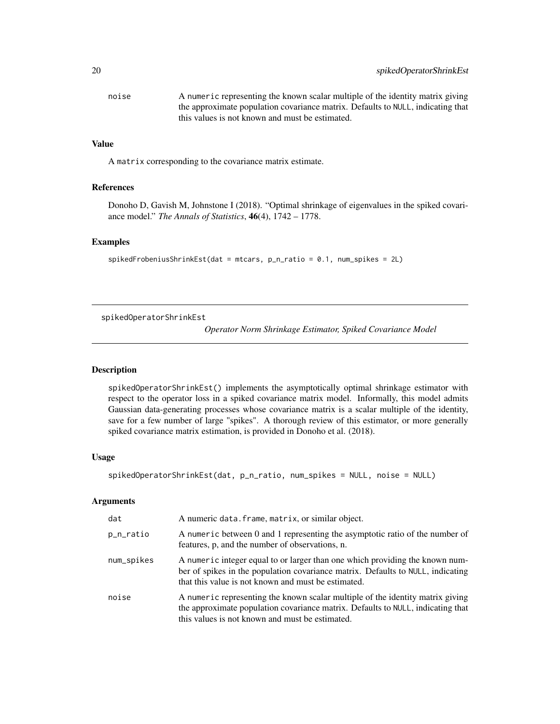<span id="page-19-0"></span>

| noise | A numeric representing the known scalar multiple of the identity matrix giving  |
|-------|---------------------------------------------------------------------------------|
|       | the approximate population covariance matrix. Defaults to NULL, indicating that |
|       | this values is not known and must be estimated.                                 |

# Value

A matrix corresponding to the covariance matrix estimate.

#### References

Donoho D, Gavish M, Johnstone I (2018). "Optimal shrinkage of eigenvalues in the spiked covariance model." *The Annals of Statistics*, 46(4), 1742 – 1778.

# Examples

```
spike dFrobeniusShrinkEst(data = mtcars, p_n-ratio = 0.1, num_spikes = 2L)
```
spikedOperatorShrinkEst

*Operator Norm Shrinkage Estimator, Spiked Covariance Model*

#### Description

spikedOperatorShrinkEst() implements the asymptotically optimal shrinkage estimator with respect to the operator loss in a spiked covariance matrix model. Informally, this model admits Gaussian data-generating processes whose covariance matrix is a scalar multiple of the identity, save for a few number of large "spikes". A thorough review of this estimator, or more generally spiked covariance matrix estimation, is provided in Donoho et al. (2018).

# Usage

```
spikedOperatorShrinkEst(dat, p_n_ratio, num_spikes = NULL, noise = NULL)
```

| dat        | A numeric data. frame, matrix, or similar object.                                                                                                                                                                      |
|------------|------------------------------------------------------------------------------------------------------------------------------------------------------------------------------------------------------------------------|
| p_n_ratio  | A numeric between 0 and 1 representing the asymptotic ratio of the number of<br>features, p, and the number of observations, n.                                                                                        |
| num_spikes | A numeric integer equal to or larger than one which providing the known num-<br>ber of spikes in the population covariance matrix. Defaults to NULL, indicating<br>that this value is not known and must be estimated. |
| noise      | A numeric representing the known scalar multiple of the identity matrix giving<br>the approximate population covariance matrix. Defaults to NULL, indicating that<br>this values is not known and must be estimated.   |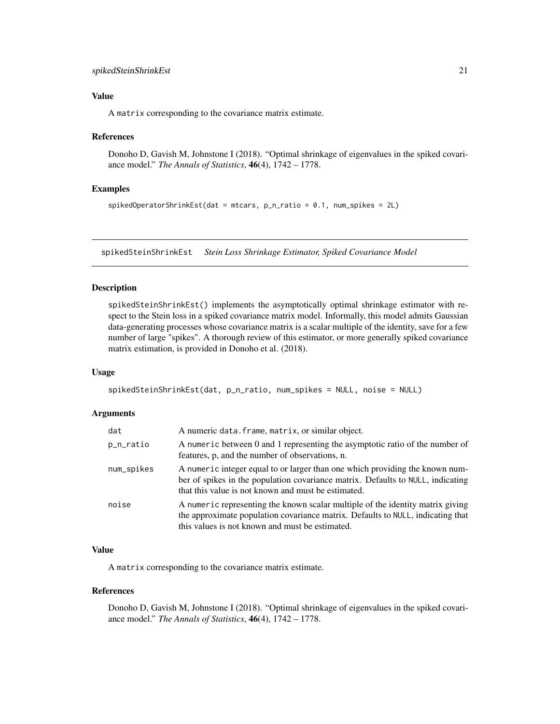# <span id="page-20-0"></span>spikedSteinShrinkEst 21

# Value

A matrix corresponding to the covariance matrix estimate.

#### References

Donoho D, Gavish M, Johnstone I (2018). "Optimal shrinkage of eigenvalues in the spiked covariance model." *The Annals of Statistics*, 46(4), 1742 – 1778.

#### Examples

```
spikedOperatorShrinkEst(dat = mtcars, p_n_ratio = 0.1, num_spikes = 2L)
```
spikedSteinShrinkEst *Stein Loss Shrinkage Estimator, Spiked Covariance Model*

#### Description

spikedSteinShrinkEst() implements the asymptotically optimal shrinkage estimator with respect to the Stein loss in a spiked covariance matrix model. Informally, this model admits Gaussian data-generating processes whose covariance matrix is a scalar multiple of the identity, save for a few number of large "spikes". A thorough review of this estimator, or more generally spiked covariance matrix estimation, is provided in Donoho et al. (2018).

# Usage

```
spikedSteinShrinkEst(dat, p_n_ratio, num_spikes = NULL, noise = NULL)
```
# Arguments

| dat        | A numeric data. frame, matrix, or similar object.                                                                                                                                                                      |
|------------|------------------------------------------------------------------------------------------------------------------------------------------------------------------------------------------------------------------------|
| p_n_ratio  | A numeric between 0 and 1 representing the asymptotic ratio of the number of<br>features, p, and the number of observations, n.                                                                                        |
| num_spikes | A numeric integer equal to or larger than one which providing the known num-<br>ber of spikes in the population covariance matrix. Defaults to NULL, indicating<br>that this value is not known and must be estimated. |
| noise      | A numeric representing the known scalar multiple of the identity matrix giving<br>the approximate population covariance matrix. Defaults to NULL, indicating that<br>this values is not known and must be estimated.   |

# Value

A matrix corresponding to the covariance matrix estimate.

#### References

Donoho D, Gavish M, Johnstone I (2018). "Optimal shrinkage of eigenvalues in the spiked covariance model." *The Annals of Statistics*, 46(4), 1742 – 1778.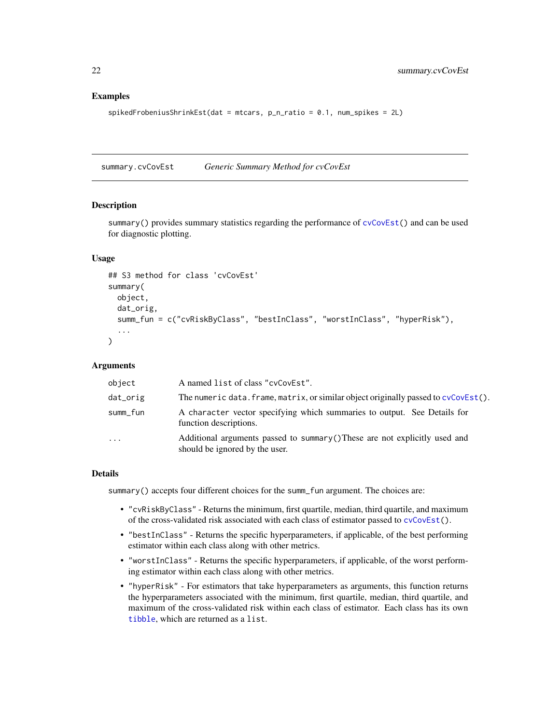#### <span id="page-21-0"></span>Examples

```
spike dFrobeniusShrinkEst(data = mtcars, p_n-ratio = 0.1, num_spikes = 2L)
```
summary.cvCovEst *Generic Summary Method for cvCovEst*

# Description

summary() provides summary statistics regarding the performance of  $cycovEst()$  and can be used for diagnostic plotting.

#### Usage

```
## S3 method for class 'cvCovEst'
summary(
 object,
  dat_orig,
  summ_fun = c("cvRiskByClass", "bestInClass", "worstInClass", "hyperRisk"),
  ...
)
```
# Arguments

| object   | A named list of class "cvCovEst".                                                                             |
|----------|---------------------------------------------------------------------------------------------------------------|
| dat_orig | The numeric data. frame, matrix, or similar object originally passed to cvCovEst().                           |
| summ_fun | A character vector specifying which summaries to output. See Details for<br>function descriptions.            |
| $\cdot$  | Additional arguments passed to summary () These are not explicitly used and<br>should be ignored by the user. |

# Details

summary() accepts four different choices for the summ\_fun argument. The choices are:

- "cvRiskByClass" Returns the minimum, first quartile, median, third quartile, and maximum of the cross-validated risk associated with each class of estimator passed to [cvCovEst\(](#page-3-1)).
- "bestInClass" Returns the specific hyperparameters, if applicable, of the best performing estimator within each class along with other metrics.
- "worstInClass" Returns the specific hyperparameters, if applicable, of the worst performing estimator within each class along with other metrics.
- "hyperRisk" For estimators that take hyperparameters as arguments, this function returns the hyperparameters associated with the minimum, first quartile, median, third quartile, and maximum of the cross-validated risk within each class of estimator. Each class has its own [tibble](#page-0-0), which are returned as a list.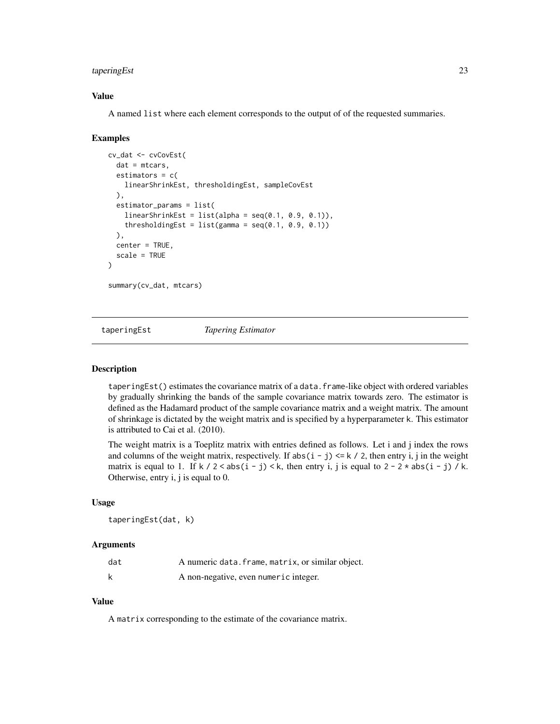# <span id="page-22-0"></span>taperingEst 23

# Value

A named list where each element corresponds to the output of of the requested summaries.

#### Examples

```
cv_dat <- cvCovEst(
  dat = mtcars,
  estimators = c(linearShrinkEst, thresholdingEst, sampleCovEst
  ),
  estimator_params = list(
    linearShrinkEst = list(alpha = seq(0.1, 0.9, 0.1)),thresholdingEst = list(gamma = seq(0.1, 0.9, 0.1))),
  center = TRUE,
  scale = TRUE
)
summary(cv_dat, mtcars)
```
taperingEst *Tapering Estimator*

#### Description

taperingEst() estimates the covariance matrix of a data.frame-like object with ordered variables by gradually shrinking the bands of the sample covariance matrix towards zero. The estimator is defined as the Hadamard product of the sample covariance matrix and a weight matrix. The amount of shrinkage is dictated by the weight matrix and is specified by a hyperparameter k. This estimator is attributed to Cai et al. (2010).

The weight matrix is a Toeplitz matrix with entries defined as follows. Let i and j index the rows and columns of the weight matrix, respectively. If  $abs(i - j) \le k / 2$ , then entry i, j in the weight matrix is equal to 1. If  $k / 2 < abs(i - j) < k$ , then entry i, j is equal to  $2 - 2 \times abs(i - j) / k$ . Otherwise, entry i, j is equal to 0.

#### Usage

taperingEst(dat, k)

#### Arguments

| dat | A numeric data. frame, matrix, or similar object. |
|-----|---------------------------------------------------|
|     | A non-negative, even numeric integer.             |

# Value

A matrix corresponding to the estimate of the covariance matrix.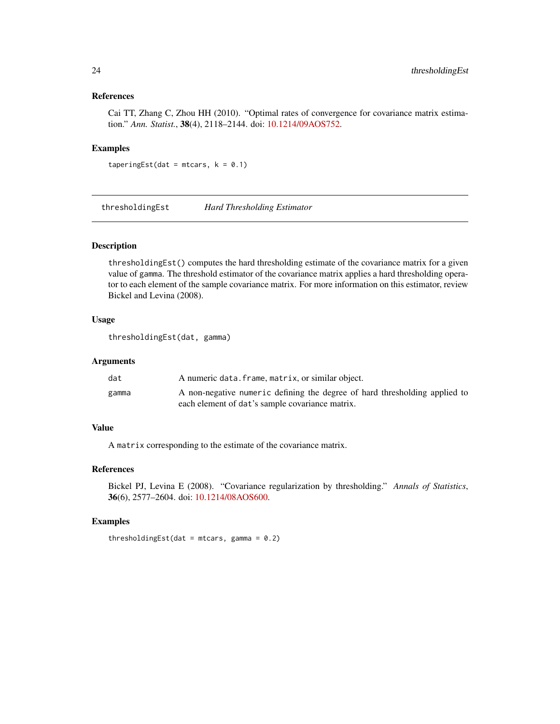# References

Cai TT, Zhang C, Zhou HH (2010). "Optimal rates of convergence for covariance matrix estimation." *Ann. Statist.*, 38(4), 2118–2144. doi: [10.1214/09AOS752.](https://doi.org/10.1214/09-AOS752)

#### Examples

taperingEst(dat = mtcars,  $k = 0.1$ )

thresholdingEst *Hard Thresholding Estimator*

# Description

thresholdingEst() computes the hard thresholding estimate of the covariance matrix for a given value of gamma. The threshold estimator of the covariance matrix applies a hard thresholding operator to each element of the sample covariance matrix. For more information on this estimator, review Bickel and Levina (2008).

# Usage

thresholdingEst(dat, gamma)

# Arguments

| dat   | A numeric data. frame, matrix, or similar object.                          |
|-------|----------------------------------------------------------------------------|
| gamma | A non-negative numeric defining the degree of hard thresholding applied to |
|       | each element of dat's sample covariance matrix.                            |

# Value

A matrix corresponding to the estimate of the covariance matrix.

# References

Bickel PJ, Levina E (2008). "Covariance regularization by thresholding." *Annals of Statistics*, 36(6), 2577–2604. doi: [10.1214/08AOS600.](https://doi.org/10.1214/08-AOS600)

#### Examples

```
thresholdingEst(dat = mtcars, gamma = 0.2)
```
<span id="page-23-0"></span>